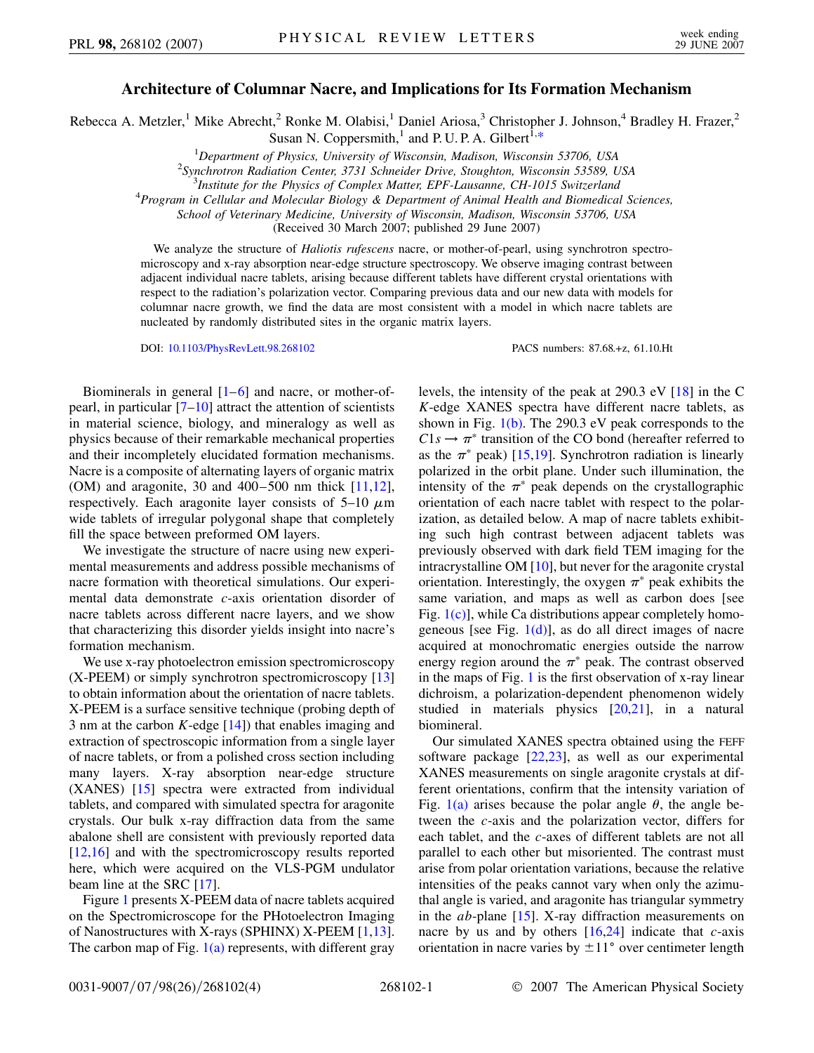## **Architecture of Columnar Nacre, and Implications for Its Formation Mechanism**

<span id="page-0-0"></span>Rebecca A. Metzler,<sup>1</sup> Mike Abrecht,<sup>2</sup> Ronke M. Olabisi,<sup>1</sup> Daniel Ariosa,<sup>3</sup> Christopher J. Johnson,<sup>4</sup> Bradley H. Frazer,<sup>2</sup> Susan N. Coppersmith,<sup>1</sup> and P. U. P. A. Gilbert<sup>1[,\\*](#page-2-0)</sup>

<sup>1</sup>Department of Physics, University of Wisconsin, Madison, Wisconsin 53706, USA<br><sup>2</sup>Synchrotron Badistion Center, <sup>3731</sup> Sehnaider Drive, Stoughter, Wisconsin 53580, I

*Synchrotron Radiation Center, 3731 Schneider Drive, Stoughton, Wisconsin 53589, USA* <sup>3</sup>

*Institute for the Physics of Complex Matter, EPF-Lausanne, CH-1015 Switzerland* <sup>4</sup>

*Program in Cellular and Molecular Biology & Department of Animal Health and Biomedical Sciences,*

*School of Veterinary Medicine, University of Wisconsin, Madison, Wisconsin 53706, USA*

(Received 30 March 2007; published 29 June 2007)

We analyze the structure of *Haliotis rufescens* nacre, or mother-of-pearl, using synchrotron spectromicroscopy and x-ray absorption near-edge structure spectroscopy. We observe imaging contrast between adjacent individual nacre tablets, arising because different tablets have different crystal orientations with respect to the radiation's polarization vector. Comparing previous data and our new data with models for columnar nacre growth, we find the data are most consistent with a model in which nacre tablets are nucleated by randomly distributed sites in the organic matrix layers.

DOI: [10.1103/PhysRevLett.98.268102](http://dx.doi.org/10.1103/PhysRevLett.98.268102) PACS numbers: 87.68.+z, 61.10.Ht

Biominerals in general  $[1-6]$  $[1-6]$  $[1-6]$  and nacre, or mother-ofpearl, in particular  $[7-10]$  $[7-10]$  $[7-10]$  attract the attention of scientists in material science, biology, and mineralogy as well as physics because of their remarkable mechanical properties and their incompletely elucidated formation mechanisms. Nacre is a composite of alternating layers of organic matrix (OM) and aragonite, 30 and 400–500 nm thick [\[11](#page-3-3)[,12\]](#page-3-4), respectively. Each aragonite layer consists of  $5-10 \mu m$ wide tablets of irregular polygonal shape that completely fill the space between preformed OM layers.

We investigate the structure of nacre using new experimental measurements and address possible mechanisms of nacre formation with theoretical simulations. Our experimental data demonstrate *c*-axis orientation disorder of nacre tablets across different nacre layers, and we show that characterizing this disorder yields insight into nacre's formation mechanism.

We use x-ray photoelectron emission spectromicroscopy (X-PEEM) or simply synchrotron spectromicroscopy [\[13\]](#page-3-5) to obtain information about the orientation of nacre tablets. X-PEEM is a surface sensitive technique (probing depth of 3 nm at the carbon *K*-edge [\[14\]](#page-3-6)) that enables imaging and extraction of spectroscopic information from a single layer of nacre tablets, or from a polished cross section including many layers. X-ray absorption near-edge structure (XANES) [[15](#page-3-7)] spectra were extracted from individual tablets, and compared with simulated spectra for aragonite crystals. Our bulk x-ray diffraction data from the same abalone shell are consistent with previously reported data [\[12](#page-3-4)[,16\]](#page-3-8) and with the spectromicroscopy results reported here, which were acquired on the VLS-PGM undulator beam line at the SRC [\[17\]](#page-3-9).

Figure [1](#page-1-0) presents X-PEEM data of nacre tablets acquired on the Spectromicroscope for the PHotoelectron Imaging of Nanostructures with X-rays (SPHINX) X-PEEM [[1,](#page-2-1)[13\]](#page-3-5). The carbon map of Fig.  $1(a)$  represents, with different gray levels, the intensity of the peak at 290.3 eV [\[18\]](#page-3-10) in the C *K*-edge XANES spectra have different nacre tablets, as shown in Fig.  $1(b)$ . The 290.3 eV peak corresponds to the  $C1s \rightarrow \pi^*$  transition of the CO bond (hereafter referred to as the  $\pi^*$  peak) [[15](#page-3-7),[19](#page-3-11)]. Synchrotron radiation is linearly polarized in the orbit plane. Under such illumination, the intensity of the  $\pi^*$  peak depends on the crystallographic orientation of each nacre tablet with respect to the polarization, as detailed below. A map of nacre tablets exhibiting such high contrast between adjacent tablets was previously observed with dark field TEM imaging for the intracrystalline OM [\[10\]](#page-3-2), but never for the aragonite crystal orientation. Interestingly, the oxygen  $\pi^*$  peak exhibits the same variation, and maps as well as carbon does [see Fig.  $1(c)$ , while Ca distributions appear completely homogeneous [see Fig.  $1(d)$ ], as do all direct images of nacre acquired at monochromatic energies outside the narrow energy region around the  $\pi^*$  peak. The contrast observed in the maps of Fig. [1](#page-1-0) is the first observation of x-ray linear dichroism, a polarization-dependent phenomenon widely studied in materials physics [[20](#page-3-12)[,21\]](#page-3-13), in a natural biomineral.

Our simulated XANES spectra obtained using the FEFF software package [[22](#page-3-14),[23](#page-3-15)], as well as our experimental XANES measurements on single aragonite crystals at different orientations, confirm that the intensity variation of Fig. [1\(a\)](#page-1-1) arises because the polar angle  $\theta$ , the angle between the *c*-axis and the polarization vector, differs for each tablet, and the *c*-axes of different tablets are not all parallel to each other but misoriented. The contrast must arise from polar orientation variations, because the relative intensities of the peaks cannot vary when only the azimuthal angle is varied, and aragonite has triangular symmetry in the *ab*-plane [[15](#page-3-7)]. X-ray diffraction measurements on nacre by us and by others [\[16](#page-3-8)[,24\]](#page-3-16) indicate that *c*-axis orientation in nacre varies by  $\pm 11^{\circ}$  over centimeter length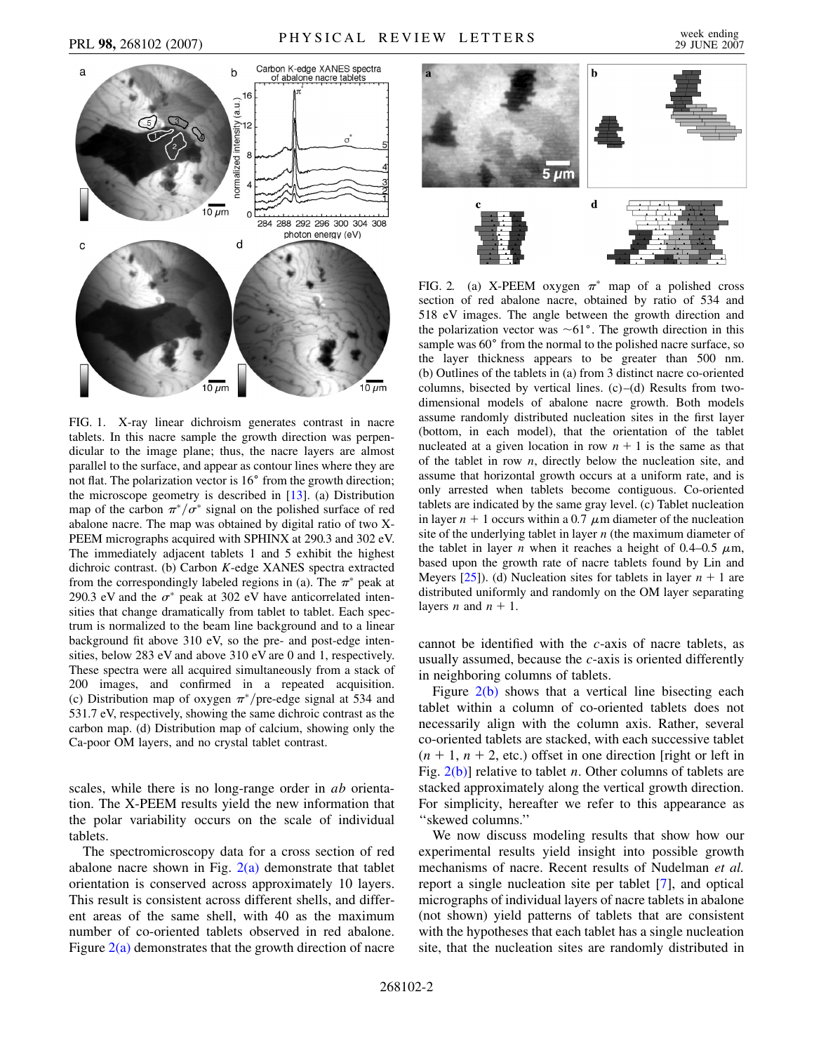<span id="page-1-0"></span>

<span id="page-1-1"></span>FIG. 1. X-ray linear dichroism generates contrast in nacre tablets. In this nacre sample the growth direction was perpendicular to the image plane; thus, the nacre layers are almost parallel to the surface, and appear as contour lines where they are not flat. The polarization vector is  $16^{\circ}$  from the growth direction; the microscope geometry is described in  $[13]$ . (a) Distribution map of the carbon  $\pi^*/\sigma^*$  signal on the polished surface of red abalone nacre. The map was obtained by digital ratio of two X-PEEM micrographs acquired with SPHINX at 290.3 and 302 eV. The immediately adjacent tablets 1 and 5 exhibit the highest dichroic contrast. (b) Carbon *K*-edge XANES spectra extracted from the correspondingly labeled regions in (a). The  $\pi^*$  peak at 290.3 eV and the  $\sigma^*$  peak at 302 eV have anticorrelated intensities that change dramatically from tablet to tablet. Each spectrum is normalized to the beam line background and to a linear background fit above 310 eV, so the pre- and post-edge intensities, below 283 eV and above 310 eV are 0 and 1, respectively. These spectra were all acquired simultaneously from a stack of 200 images, and confirmed in a repeated acquisition. (c) Distribution map of oxygen  $\pi$ <sup>\*</sup>/pre-edge signal at 534 and 531.7 eV, respectively, showing the same dichroic contrast as the carbon map. (d) Distribution map of calcium, showing only the Ca-poor OM layers, and no crystal tablet contrast.

scales, while there is no long-range order in *ab* orientation. The X-PEEM results yield the new information that the polar variability occurs on the scale of individual tablets.

The spectromicroscopy data for a cross section of red abalone nacre shown in Fig.  $2(a)$  demonstrate that tablet orientation is conserved across approximately 10 layers. This result is consistent across different shells, and different areas of the same shell, with 40 as the maximum number of co-oriented tablets observed in red abalone. Figure  $2(a)$  demonstrates that the growth direction of nacre



<span id="page-1-2"></span>FIG. 2. (a) X-PEEM oxygen  $\pi^*$  map of a polished cross section of red abalone nacre, obtained by ratio of 534 and 518 eV images. The angle between the growth direction and the polarization vector was  $\sim 61^\circ$ . The growth direction in this sample was 60° from the normal to the polished nacre surface, so the layer thickness appears to be greater than 500 nm. (b) Outlines of the tablets in (a) from 3 distinct nacre co-oriented columns, bisected by vertical lines. (c)–(d) Results from twodimensional models of abalone nacre growth. Both models assume randomly distributed nucleation sites in the first layer (bottom, in each model), that the orientation of the tablet nucleated at a given location in row  $n + 1$  is the same as that of the tablet in row *n*, directly below the nucleation site, and assume that horizontal growth occurs at a uniform rate, and is only arrested when tablets become contiguous. Co-oriented tablets are indicated by the same gray level. (c) Tablet nucleation in layer  $n + 1$  occurs within a 0.7  $\mu$ m diameter of the nucleation site of the underlying tablet in layer *n* (the maximum diameter of the tablet in layer *n* when it reaches a height of 0.4–0.5  $\mu$ m, based upon the growth rate of nacre tablets found by Lin and Meyers  $[25]$ ). (d) Nucleation sites for tablets in layer  $n + 1$  are distributed uniformly and randomly on the OM layer separating layers *n* and  $n + 1$ .

cannot be identified with the *c*-axis of nacre tablets, as usually assumed, because the *c*-axis is oriented differently in neighboring columns of tablets.

Figure [2\(b\)](#page-1-2) shows that a vertical line bisecting each tablet within a column of co-oriented tablets does not necessarily align with the column axis. Rather, several co-oriented tablets are stacked, with each successive tablet  $(n + 1, n + 2,$  etc.) offset in one direction [right or left in Fig. [2\(b\)\]](#page-1-2) relative to tablet *n*. Other columns of tablets are stacked approximately along the vertical growth direction. For simplicity, hereafter we refer to this appearance as ''skewed columns.''

We now discuss modeling results that show how our experimental results yield insight into possible growth mechanisms of nacre. Recent results of Nudelman *et al.* report a single nucleation site per tablet [[7](#page-3-1)], and optical micrographs of individual layers of nacre tablets in abalone (not shown) yield patterns of tablets that are consistent with the hypotheses that each tablet has a single nucleation site, that the nucleation sites are randomly distributed in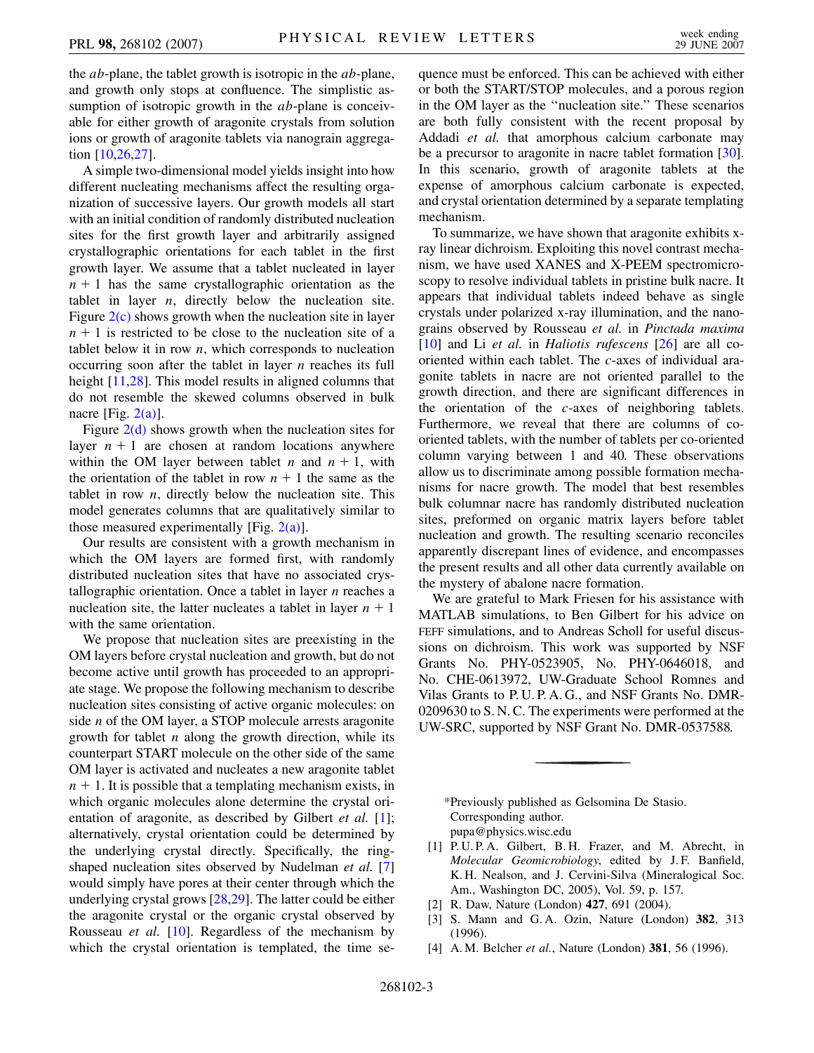the *ab*-plane, the tablet growth is isotropic in the *ab*-plane, and growth only stops at confluence. The simplistic assumption of isotropic growth in the *ab*-plane is conceivable for either growth of aragonite crystals from solution ions or growth of aragonite tablets via nanograin aggregation [[10](#page-3-2),[26](#page-3-18),[27](#page-3-19)].

A simple two-dimensional model yields insight into how different nucleating mechanisms affect the resulting organization of successive layers. Our growth models all start with an initial condition of randomly distributed nucleation sites for the first growth layer and arbitrarily assigned crystallographic orientations for each tablet in the first growth layer. We assume that a tablet nucleated in layer  $n + 1$  has the same crystallographic orientation as the tablet in layer *n*, directly below the nucleation site. Figure  $2(c)$  shows growth when the nucleation site in layer  $n + 1$  is restricted to be close to the nucleation site of a tablet below it in row *n*, which corresponds to nucleation occurring soon after the tablet in layer *n* reaches its full height [[11](#page-3-3),[28](#page-3-20)]. This model results in aligned columns that do not resemble the skewed columns observed in bulk nacre [Fig.  $2(a)$ ].

Figure  $2(d)$  shows growth when the nucleation sites for layer  $n + 1$  are chosen at random locations anywhere within the OM layer between tablet *n* and  $n + 1$ , with the orientation of the tablet in row  $n + 1$  the same as the tablet in row *n*, directly below the nucleation site. This model generates columns that are qualitatively similar to those measured experimentally [Fig.  $2(a)$ ].

Our results are consistent with a growth mechanism in which the OM layers are formed first, with randomly distributed nucleation sites that have no associated crystallographic orientation. Once a tablet in layer *n* reaches a nucleation site, the latter nucleates a tablet in layer  $n + 1$ with the same orientation.

We propose that nucleation sites are preexisting in the OM layers before crystal nucleation and growth, but do not become active until growth has proceeded to an appropriate stage. We propose the following mechanism to describe nucleation sites consisting of active organic molecules: on side *n* of the OM layer, a STOP molecule arrests aragonite growth for tablet *n* along the growth direction, while its counterpart START molecule on the other side of the same OM layer is activated and nucleates a new aragonite tablet  $n + 1$ . It is possible that a templating mechanism exists, in which organic molecules alone determine the crystal orientation of aragonite, as described by Gilbert *et al.* [\[1\]](#page-2-1); alternatively, crystal orientation could be determined by the underlying crystal directly. Specifically, the ringshaped nucleation sites observed by Nudelman *et al.* [\[7\]](#page-3-1) would simply have pores at their center through which the underlying crystal grows [[28](#page-3-20),[29](#page-3-21)]. The latter could be either the aragonite crystal or the organic crystal observed by Rousseau *et al.* [\[10\]](#page-3-2). Regardless of the mechanism by which the crystal orientation is templated, the time sequence must be enforced. This can be achieved with either or both the START/STOP molecules, and a porous region in the OM layer as the ''nucleation site.'' These scenarios are both fully consistent with the recent proposal by Addadi *et al.* that amorphous calcium carbonate may be a precursor to aragonite in nacre tablet formation [[30\]](#page-3-22). In this scenario, growth of aragonite tablets at the expense of amorphous calcium carbonate is expected, and crystal orientation determined by a separate templating mechanism.

To summarize, we have shown that aragonite exhibits xray linear dichroism. Exploiting this novel contrast mechanism, we have used XANES and X-PEEM spectromicroscopy to resolve individual tablets in pristine bulk nacre. It appears that individual tablets indeed behave as single crystals under polarized x-ray illumination, and the nanograins observed by Rousseau *et al.* in *Pinctada maxima* [\[10\]](#page-3-2) and Li *et al.* in *Haliotis rufescens* [[26](#page-3-18)] are all cooriented within each tablet. The *c*-axes of individual aragonite tablets in nacre are not oriented parallel to the growth direction, and there are significant differences in the orientation of the *c*-axes of neighboring tablets. Furthermore, we reveal that there are columns of cooriented tablets, with the number of tablets per co-oriented column varying between 1 and 40. These observations allow us to discriminate among possible formation mechanisms for nacre growth. The model that best resembles bulk columnar nacre has randomly distributed nucleation sites, preformed on organic matrix layers before tablet nucleation and growth. The resulting scenario reconciles apparently discrepant lines of evidence, and encompasses the present results and all other data currently available on the mystery of abalone nacre formation.

We are grateful to Mark Friesen for his assistance with MATLAB simulations, to Ben Gilbert for his advice on FEFF simulations, and to Andreas Scholl for useful discussions on dichroism. This work was supported by NSF Grants No. PHY-0523905, No. PHY-0646018, and No. CHE-0613972, UW-Graduate School Romnes and Vilas Grants to P. U. P. A. G., and NSF Grants No. DMR-0209630 to S. N. C. The experiments were performed at the UW-SRC, supported by NSF Grant No. DMR-0537588.

<span id="page-2-0"></span>[\\*P](#page-0-0)reviously published as Gelsomina De Stasio. Corresponding author. pupa@physics.wisc.edu

- <span id="page-2-1"></span>[1] P. U. P. A. Gilbert, B. H. Frazer, and M. Abrecht, in *Molecular Geomicrobiology*, edited by J. F. Banfield, K. H. Nealson, and J. Cervini-Silva (Mineralogical Soc. Am., Washington DC, 2005), Vol. 59, p. 157.
- [2] R. Daw, Nature (London) **427**, 691 (2004).
- [3] S. Mann and G. A. Ozin, Nature (London) **382**, 313 (1996).
- [4] A. M. Belcher *et al.*, Nature (London) **381**, 56 (1996).